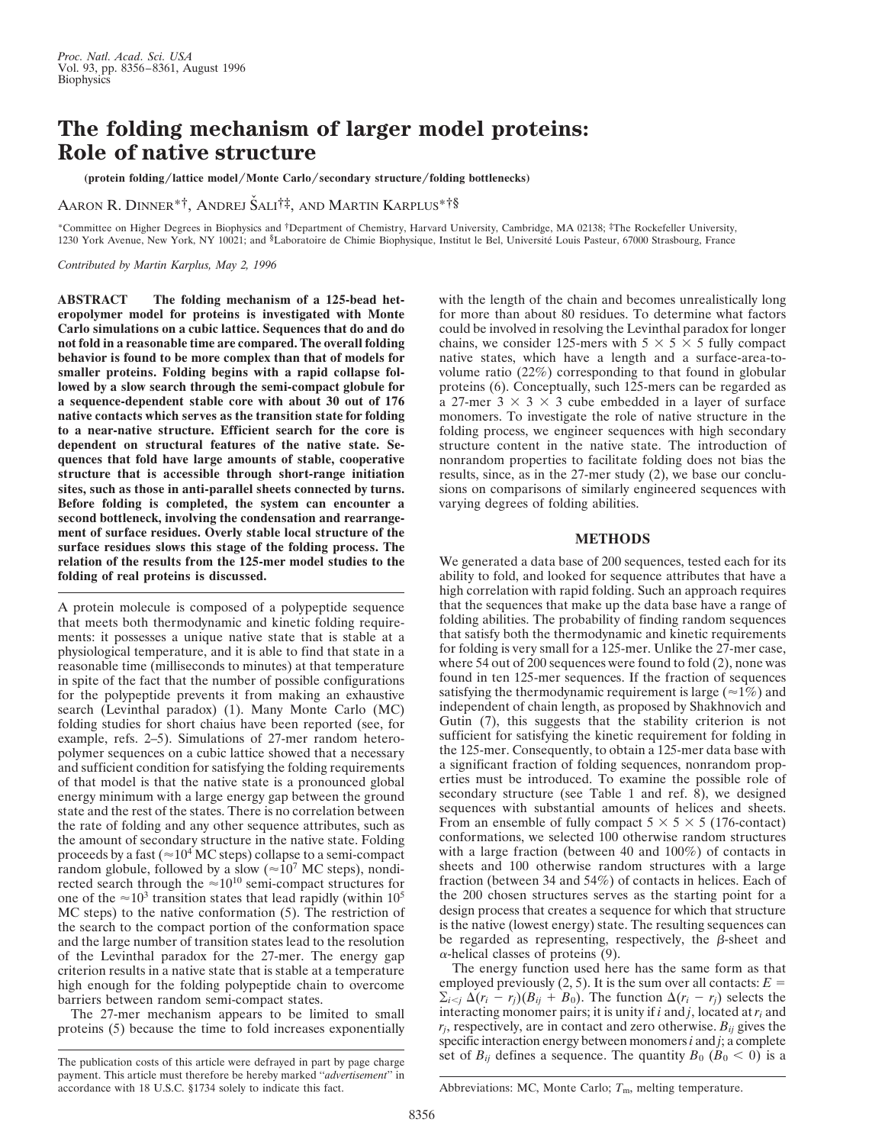## **The folding mechanism of larger model proteins: Role of native structure**

**(protein folding**y**lattice model**y**Monte Carlo**y**secondary structure**y**folding bottlenecks)**

Aaron R. Dinner\*†, Andrej Šali†‡, and Martin Karplus\*†§

\*Committee on Higher Degrees in Biophysics and †Department of Chemistry, Harvard University, Cambridge, MA 02138; ‡The Rockefeller University, 1230 York Avenue, New York, NY 10021; and <sup>§</sup>Laboratoire de Chimie Biophysique, Institut le Bel, Université Louis Pasteur, 67000 Strasbourg, France

*Contributed by Martin Karplus, May 2, 1996*

**ABSTRACT The folding mechanism of a 125-bead heteropolymer model for proteins is investigated with Monte Carlo simulations on a cubic lattice. Sequences that do and do not fold in a reasonable time are compared. The overall folding behavior is found to be more complex than that of models for smaller proteins. Folding begins with a rapid collapse followed by a slow search through the semi-compact globule for a sequence-dependent stable core with about 30 out of 176 native contacts which serves as the transition state for folding to a near-native structure. Efficient search for the core is dependent on structural features of the native state. Sequences that fold have large amounts of stable, cooperative structure that is accessible through short-range initiation sites, such as those in anti-parallel sheets connected by turns. Before folding is completed, the system can encounter a second bottleneck, involving the condensation and rearrangement of surface residues. Overly stable local structure of the surface residues slows this stage of the folding process. The relation of the results from the 125-mer model studies to the folding of real proteins is discussed.**

A protein molecule is composed of a polypeptide sequence that meets both thermodynamic and kinetic folding requirements: it possesses a unique native state that is stable at a physiological temperature, and it is able to find that state in a reasonable time (milliseconds to minutes) at that temperature in spite of the fact that the number of possible configurations for the polypeptide prevents it from making an exhaustive search (Levinthal paradox) (1). Many Monte Carlo (MC) folding studies for short chaius have been reported (see, for example, refs. 2–5). Simulations of 27-mer random heteropolymer sequences on a cubic lattice showed that a necessary and sufficient condition for satisfying the folding requirements of that model is that the native state is a pronounced global energy minimum with a large energy gap between the ground state and the rest of the states. There is no correlation between the rate of folding and any other sequence attributes, such as the amount of secondary structure in the native state. Folding proceeds by a fast ( $\approx 10^4$  MC steps) collapse to a semi-compact random globule, followed by a slow ( $\approx 10^7$  MC steps), nondirected search through the  $\approx 10^{10}$  semi-compact structures for one of the  $\approx 10^3$  transition states that lead rapidly (within 10<sup>5</sup> MC steps) to the native conformation (5). The restriction of the search to the compact portion of the conformation space and the large number of transition states lead to the resolution of the Levinthal paradox for the 27-mer. The energy gap criterion results in a native state that is stable at a temperature high enough for the folding polypeptide chain to overcome barriers between random semi-compact states.

The 27-mer mechanism appears to be limited to small proteins (5) because the time to fold increases exponentially with the length of the chain and becomes unrealistically long for more than about 80 residues. To determine what factors could be involved in resolving the Levinthal paradox for longer chains, we consider 125-mers with  $5 \times 5 \times 5$  fully compact native states, which have a length and a surface-area-tovolume ratio (22%) corresponding to that found in globular proteins (6). Conceptually, such 125-mers can be regarded as a 27-mer  $3 \times 3 \times 3$  cube embedded in a layer of surface monomers. To investigate the role of native structure in the folding process, we engineer sequences with high secondary structure content in the native state. The introduction of nonrandom properties to facilitate folding does not bias the results, since, as in the 27-mer study (2), we base our conclusions on comparisons of similarly engineered sequences with varying degrees of folding abilities.

## **METHODS**

We generated a data base of 200 sequences, tested each for its ability to fold, and looked for sequence attributes that have a high correlation with rapid folding. Such an approach requires that the sequences that make up the data base have a range of folding abilities. The probability of finding random sequences that satisfy both the thermodynamic and kinetic requirements for folding is very small for a 125-mer. Unlike the 27-mer case, where 54 out of 200 sequences were found to fold (2), none was found in ten 125-mer sequences. If the fraction of sequences satisfying the thermodynamic requirement is large  $(\approx 1\%)$  and independent of chain length, as proposed by Shakhnovich and Gutin (7), this suggests that the stability criterion is not sufficient for satisfying the kinetic requirement for folding in the 125-mer. Consequently, to obtain a 125-mer data base with a significant fraction of folding sequences, nonrandom properties must be introduced. To examine the possible role of secondary structure (see Table 1 and ref.  $\hat{8}$ ), we designed sequences with substantial amounts of helices and sheets. From an ensemble of fully compact  $5 \times 5 \times 5$  (176-contact) conformations, we selected 100 otherwise random structures with a large fraction (between 40 and 100%) of contacts in sheets and 100 otherwise random structures with a large fraction (between 34 and 54%) of contacts in helices. Each of the 200 chosen structures serves as the starting point for a design process that creates a sequence for which that structure is the native (lowest energy) state. The resulting sequences can be regarded as representing, respectively, the  $\beta$ -sheet and  $\alpha$ -helical classes of proteins (9).

The energy function used here has the same form as that employed previously  $(2, 5)$ . It is the sum over all contacts:  $E =$  $\sum_{i \leq j} \Delta(r_i - r_i)(B_{ij} + B_0)$ . The function  $\Delta(r_i - r_j)$  selects the interacting monomer pairs; it is unity if *i* and *j*, located at *ri* and  $r_j$ , respectively, are in contact and zero otherwise.  $B_{ij}$  gives the specific interaction energy between monomers*i* and *j*; a complete The publication costs of this article were defraved in part by page charge set of  $B_{ij}$  defines a sequence. The quantity  $B_0$  ( $B_0 < 0$ ) is a

payment. This article must therefore be hereby marked "*advertisement*" in accordance with 18 U.S.C. §1734 solely to indicate this fact.

Abbreviations: MC, Monte Carlo;  $T<sub>m</sub>$ , melting temperature.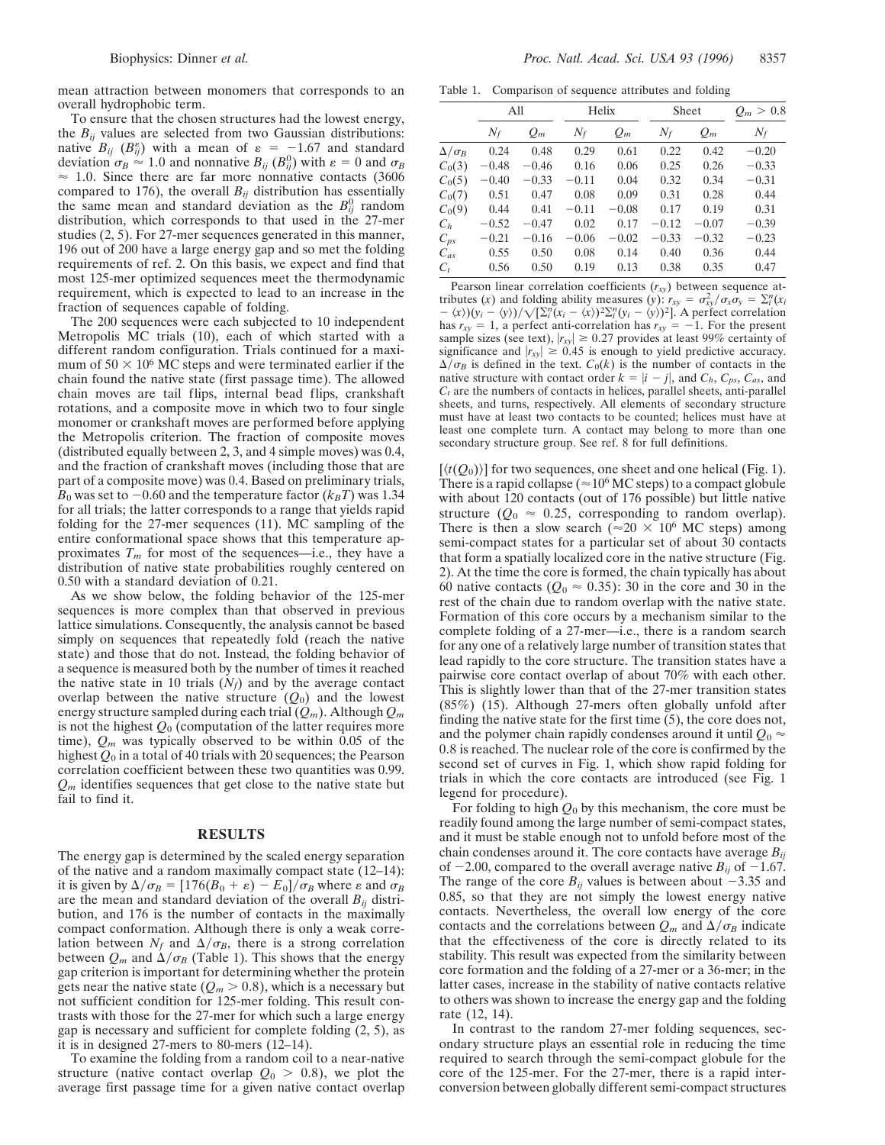To ensure that the chosen structures had the lowest energy, the  $B_{ij}$  values are selected from two Gaussian distributions: native  $B_{ij}$  ( $B_{ij}^{\varepsilon}$ ) with a mean of  $\varepsilon = -1.67$  and standard deviation  $\sigma_B \approx 1.0$  and nonnative  $B_{ij}$  ( $B_{ij}^0$ ) with  $\varepsilon = 0$  and  $\sigma_B$  $\approx$  1.0. Since there are far more nonnative contacts (3606) compared to 176), the overall  $B_{ij}$  distribution has essentially the same mean and standard deviation as the  $B_{ij}^0$  random distribution, which corresponds to that used in the 27-mer studies (2, 5). For 27-mer sequences generated in this manner, 196 out of 200 have a large energy gap and so met the folding requirements of ref. 2. On this basis, we expect and find that most 125-mer optimized sequences meet the thermodynamic requirement, which is expected to lead to an increase in the fraction of sequences capable of folding.

The 200 sequences were each subjected to 10 independent Metropolis MC trials (10), each of which started with a different random configuration. Trials continued for a maximum of  $50 \times 10^6$  MC steps and were terminated earlier if the chain found the native state (first passage time). The allowed chain moves are tail flips, internal bead flips, crankshaft rotations, and a composite move in which two to four single monomer or crankshaft moves are performed before applying the Metropolis criterion. The fraction of composite moves (distributed equally between 2, 3, and 4 simple moves) was 0.4, and the fraction of crankshaft moves (including those that are part of a composite move) was 0.4. Based on preliminary trials,  $B_0$  was set to  $-0.60$  and the temperature factor ( $k_BT$ ) was 1.34 for all trials; the latter corresponds to a range that yields rapid folding for the 27-mer sequences (11). MC sampling of the entire conformational space shows that this temperature approximates  $T_m$  for most of the sequences—i.e., they have a distribution of native state probabilities roughly centered on 0.50 with a standard deviation of 0.21.

As we show below, the folding behavior of the 125-mer sequences is more complex than that observed in previous lattice simulations. Consequently, the analysis cannot be based simply on sequences that repeatedly fold (reach the native state) and those that do not. Instead, the folding behavior of a sequence is measured both by the number of times it reached the native state in 10 trials  $(N_f)$  and by the average contact overlap between the native structure  $(Q_0)$  and the lowest energy structure sampled during each trial (*Qm*). Although *Qm* is not the highest *Q*<sup>0</sup> (computation of the latter requires more time), *Qm* was typically observed to be within 0.05 of the highest *Q*<sup>0</sup> in a total of 40 trials with 20 sequences; the Pearson correlation coefficient between these two quantities was 0.99. *Qm* identifies sequences that get close to the native state but fail to find it.

## **RESULTS**

The energy gap is determined by the scaled energy separation of the native and a random maximally compact state (12–14): it is given by  $\Delta/\sigma_B = [176(B_0 + \varepsilon) - E_0]/\sigma_B$  where  $\varepsilon$  and  $\sigma_B$ are the mean and standard deviation of the overall  $B_{ij}$  distribution, and 176 is the number of contacts in the maximally compact conformation. Although there is only a weak correlation between  $N_f$  and  $\Delta/\sigma_B$ , there is a strong correlation between  $Q_m$  and  $\Delta/\sigma_B$  (Table 1). This shows that the energy gap criterion is important for determining whether the protein gets near the native state  $(Q_m > 0.8)$ , which is a necessary but not sufficient condition for 125-mer folding. This result contrasts with those for the 27-mer for which such a large energy gap is necessary and sufficient for complete folding (2, 5), as it is in designed 27-mers to 80-mers (12–14).

To examine the folding from a random coil to a near-native structure (native contact overlap  $Q_0 > 0.8$ ), we plot the average first passage time for a given native contact overlap

Table 1. Comparison of sequence attributes and folding

|                   | All     |         | Helix   |         | Sheet   |         | $Q_m > 0.8$ |
|-------------------|---------|---------|---------|---------|---------|---------|-------------|
|                   | $N_f$   | $Q_m$   | $N_f$   | $Q_m$   | $N_f$   | $Q_m$   | $N_f$       |
| $\Delta/\sigma_B$ | 0.24    | 0.48    | 0.29    | 0.61    | 0.22    | 0.42    | $-0.20$     |
| $C_0(3)$          | $-0.48$ | $-0.46$ | 0.16    | 0.06    | 0.25    | 0.26    | $-0.33$     |
| $C_0(5)$          | $-0.40$ | $-0.33$ | $-0.11$ | 0.04    | 0.32    | 0.34    | $-0.31$     |
| $C_0(7)$          | 0.51    | 0.47    | 0.08    | 0.09    | 0.31    | 0.28    | 0.44        |
| $C_0(9)$          | 0.44    | 0.41    | $-0.11$ | $-0.08$ | 0.17    | 0.19    | 0.31        |
| $C_h$             | $-0.52$ | $-0.47$ | 0.02    | 0.17    | $-0.12$ | $-0.07$ | $-0.39$     |
| $C_{ps}$          | $-0.21$ | $-0.16$ | $-0.06$ | $-0.02$ | $-0.33$ | $-0.32$ | $-0.23$     |
| $C_{as}$          | 0.55    | 0.50    | 0.08    | 0.14    | 0.40    | 0.36    | 0.44        |
| $C_{t}$           | 0.56    | 0.50    | 0.19    | 0.13    | 0.38    | 0.35    | 0.47        |

Pearson linear correlation coefficients ( $r_{xy}$ ) between sequence attributes (*x*) and folding ability measures (*y*):  $r_{xy} = \sigma_{xy}^2/\sigma_x \sigma_y = \sum_i (x_i - \sigma_x^2)$  $-\langle x \rangle \left( \frac{\partial}{\partial x_i} - \langle y \rangle \right) / \sqrt{\left[ \sum_i n (x_i - \langle x \rangle)^2 \sum_i n (y_i - \langle y \rangle)^2 \right]}$ . A perfect correlation has  $r_{xy} = 1$ , a perfect anti-correlation has  $r_{xy} = -1$ . For the present sample sizes (see text),  $|r_{xy}| \ge 0.27$  provides at least 99% certainty of significance and  $|r_{xy}| \ge 0.45$  is enough to yield predictive accuracy.  $\Delta/\sigma_B$  is defined in the text.  $C_0(k)$  is the number of contacts in the native structure with contact order  $k = |i - j|$ , and  $C_h$ ,  $C_{ps}$ ,  $C_{as}$ , and  $C_t$  are the numbers of contacts in helices, parallel sheets, anti-parallel sheets, and turns, respectively. All elements of secondary structure must have at least two contacts to be counted; helices must have at least one complete turn. A contact may belong to more than one secondary structure group. See ref. 8 for full definitions.

 $[\langle t(Q_0)\rangle]$  for two sequences, one sheet and one helical (Fig. 1). There is a rapid collapse ( $\approx 10^6$  MC steps) to a compact globule with about 120 contacts (out of 176 possible) but little native structure ( $Q_0 \approx 0.25$ , corresponding to random overlap). There is then a slow search ( $\approx 20 \times 10^6$  MC steps) among semi-compact states for a particular set of about 30 contacts that form a spatially localized core in the native structure (Fig. 2). At the time the core is formed, the chain typically has about 60 native contacts ( $Q_0 \approx 0.35$ ): 30 in the core and 30 in the rest of the chain due to random overlap with the native state. Formation of this core occurs by a mechanism similar to the complete folding of a 27-mer—i.e., there is a random search for any one of a relatively large number of transition states that lead rapidly to the core structure. The transition states have a pairwise core contact overlap of about 70% with each other. This is slightly lower than that of the 27-mer transition states (85%) (15). Although 27-mers often globally unfold after finding the native state for the first time (5), the core does not, and the polymer chain rapidly condenses around it until  $Q_0 \approx$ 0.8 is reached. The nuclear role of the core is confirmed by the second set of curves in Fig. 1, which show rapid folding for trials in which the core contacts are introduced (see Fig. 1 legend for procedure).

For folding to high  $Q_0$  by this mechanism, the core must be readily found among the large number of semi-compact states, and it must be stable enough not to unfold before most of the chain condenses around it. The core contacts have average *Bij* of  $-2.00$ , compared to the overall average native  $B_{ij}$  of  $-1.67$ . The range of the core  $B_{ij}$  values is between about  $-3.35$  and 0.85, so that they are not simply the lowest energy native contacts. Nevertheless, the overall low energy of the core contacts and the correlations between  $Q_m$  and  $\Delta/\sigma_B$  indicate that the effectiveness of the core is directly related to its stability. This result was expected from the similarity between core formation and the folding of a 27-mer or a 36-mer; in the latter cases, increase in the stability of native contacts relative to others was shown to increase the energy gap and the folding rate (12, 14).

In contrast to the random 27-mer folding sequences, secondary structure plays an essential role in reducing the time required to search through the semi-compact globule for the core of the 125-mer. For the 27-mer, there is a rapid interconversion between globally different semi-compact structures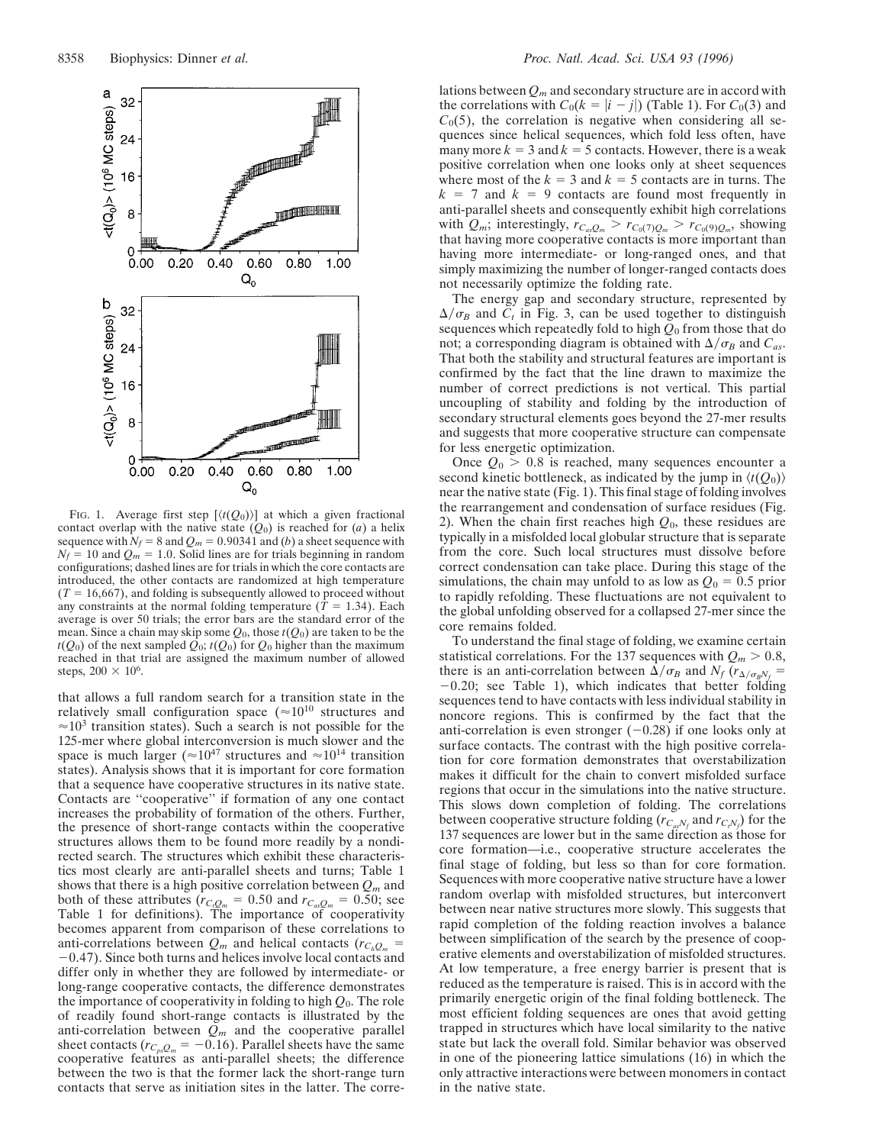

FIG. 1. Average first step  $[\langle t(Q_0)\rangle]$  at which a given fractional contact overlap with the native state  $(Q_0)$  is reached for  $(a)$  a helix sequence with  $N_f = 8$  and  $Q_m = 0.90341$  and (*b*) a sheet sequence with  $N_f = 10$  and  $Q_m = 1.0$ . Solid lines are for trials beginning in random configurations; dashed lines are for trials in which the core contacts are introduced, the other contacts are randomized at high temperature  $(T = 16,667)$ , and folding is subsequently allowed to proceed without any constraints at the normal folding temperature  $(T = 1.34)$ . Each average is over 50 trials; the error bars are the standard error of the mean. Since a chain may skip some  $Q_0$ , those  $t(Q_0)$  are taken to be the  $t(Q_0)$  of the next sampled  $Q_0$ ;  $t(Q_0)$  for  $Q_0$  higher than the maximum reached in that trial are assigned the maximum number of allowed steps,  $200 \times 10^6$ .

that allows a full random search for a transition state in the relatively small configuration space  $(\approx 10^{10}$  structures and  $\approx$  10<sup>3</sup> transition states). Such a search is not possible for the 125-mer where global interconversion is much slower and the space is much larger ( $\approx 10^{47}$  structures and  $\approx 10^{14}$  transition states). Analysis shows that it is important for core formation that a sequence have cooperative structures in its native state. Contacts are ''cooperative'' if formation of any one contact increases the probability of formation of the others. Further, the presence of short-range contacts within the cooperative structures allows them to be found more readily by a nondirected search. The structures which exhibit these characteristics most clearly are anti-parallel sheets and turns; Table 1 shows that there is a high positive correlation between  $Q_m$  and both of these attributes ( $r_{C,Q_m} = 0.50$  and  $r_{C_a,Q_m} = 0.50$ ; see Table 1 for definitions). The importance of cooperativity becomes apparent from comparison of these correlations to anti-correlations between  $Q_m$  and helical contacts ( $r_{C_hQ_m}$  =  $-0.47$ ). Since both turns and helices involve local contacts and differ only in whether they are followed by intermediate- or long-range cooperative contacts, the difference demonstrates the importance of cooperativity in folding to high *Q*0. The role of readily found short-range contacts is illustrated by the anti-correlation between  $Q_m$  and the cooperative parallel sheet contacts ( $r_{C_{ps}Q_m} = -0.16$ ). Parallel sheets have the same cooperative features as anti-parallel sheets; the difference between the two is that the former lack the short-range turn contacts that serve as initiation sites in the latter. The correlations between *Qm* and secondary structure are in accord with the correlations with  $C_0(k = |i - j|)$  (Table 1). For  $C_0(3)$  and  $C<sub>0</sub>(5)$ , the correlation is negative when considering all sequences since helical sequences, which fold less often, have many more  $k = 3$  and  $k = 5$  contacts. However, there is a weak positive correlation when one looks only at sheet sequences where most of the  $k = 3$  and  $k = 5$  contacts are in turns. The  $k = 7$  and  $k = 9$  contacts are found most frequently in anti-parallel sheets and consequently exhibit high correlations with  $Q_m$ ; interestingly,  $r_{C_{as}}Q_m > r_{C_0(7)Q_m} > r_{C_0(9)Q_m}$ , showing that having more cooperative contacts is more important than having more intermediate- or long-ranged ones, and that simply maximizing the number of longer-ranged contacts does not necessarily optimize the folding rate.

The energy gap and secondary structure, represented by  $\Delta/\sigma_B$  and  $C_t$  in Fig. 3, can be used together to distinguish sequences which repeatedly fold to high *Q*<sup>0</sup> from those that do not; a corresponding diagram is obtained with  $\Delta/\sigma_B$  and  $C_{as}$ . That both the stability and structural features are important is confirmed by the fact that the line drawn to maximize the number of correct predictions is not vertical. This partial uncoupling of stability and folding by the introduction of secondary structural elements goes beyond the 27-mer results and suggests that more cooperative structure can compensate for less energetic optimization.

Once  $Q_0 > 0.8$  is reached, many sequences encounter a second kinetic bottleneck, as indicated by the jump in  $\langle t(Q_0) \rangle$ near the native state (Fig. 1). This final stage of folding involves the rearrangement and condensation of surface residues (Fig. 2). When the chain first reaches high *Q*0, these residues are typically in a misfolded local globular structure that is separate from the core. Such local structures must dissolve before correct condensation can take place. During this stage of the simulations, the chain may unfold to as low as  $Q_0 = 0.5$  prior to rapidly refolding. These fluctuations are not equivalent to the global unfolding observed for a collapsed 27-mer since the core remains folded.

To understand the final stage of folding, we examine certain statistical correlations. For the 137 sequences with  $Q_m > 0.8$ , there is an anti-correlation between  $\Delta/\sigma_B$  and  $N_f(r_{\Delta/\sigma_B N_f}$  =  $-0.20$ ; see Table 1), which indicates that better folding sequences tend to have contacts with less individual stability in noncore regions. This is confirmed by the fact that the anti-correlation is even stronger  $(-0.28)$  if one looks only at surface contacts. The contrast with the high positive correlation for core formation demonstrates that overstabilization makes it difficult for the chain to convert misfolded surface regions that occur in the simulations into the native structure. This slows down completion of folding. The correlations between cooperative structure folding  $(r_{C_a,N_f}$  and  $r_{C_t,N_f})$  for the 137 sequences are lower but in the same direction as those for core formation—i.e., cooperative structure accelerates the final stage of folding, but less so than for core formation. Sequences with more cooperative native structure have a lower random overlap with misfolded structures, but interconvert between near native structures more slowly. This suggests that rapid completion of the folding reaction involves a balance between simplification of the search by the presence of cooperative elements and overstabilization of misfolded structures. At low temperature, a free energy barrier is present that is reduced as the temperature is raised. This is in accord with the primarily energetic origin of the final folding bottleneck. The most efficient folding sequences are ones that avoid getting trapped in structures which have local similarity to the native state but lack the overall fold. Similar behavior was observed in one of the pioneering lattice simulations (16) in which the only attractive interactions were between monomers in contact in the native state.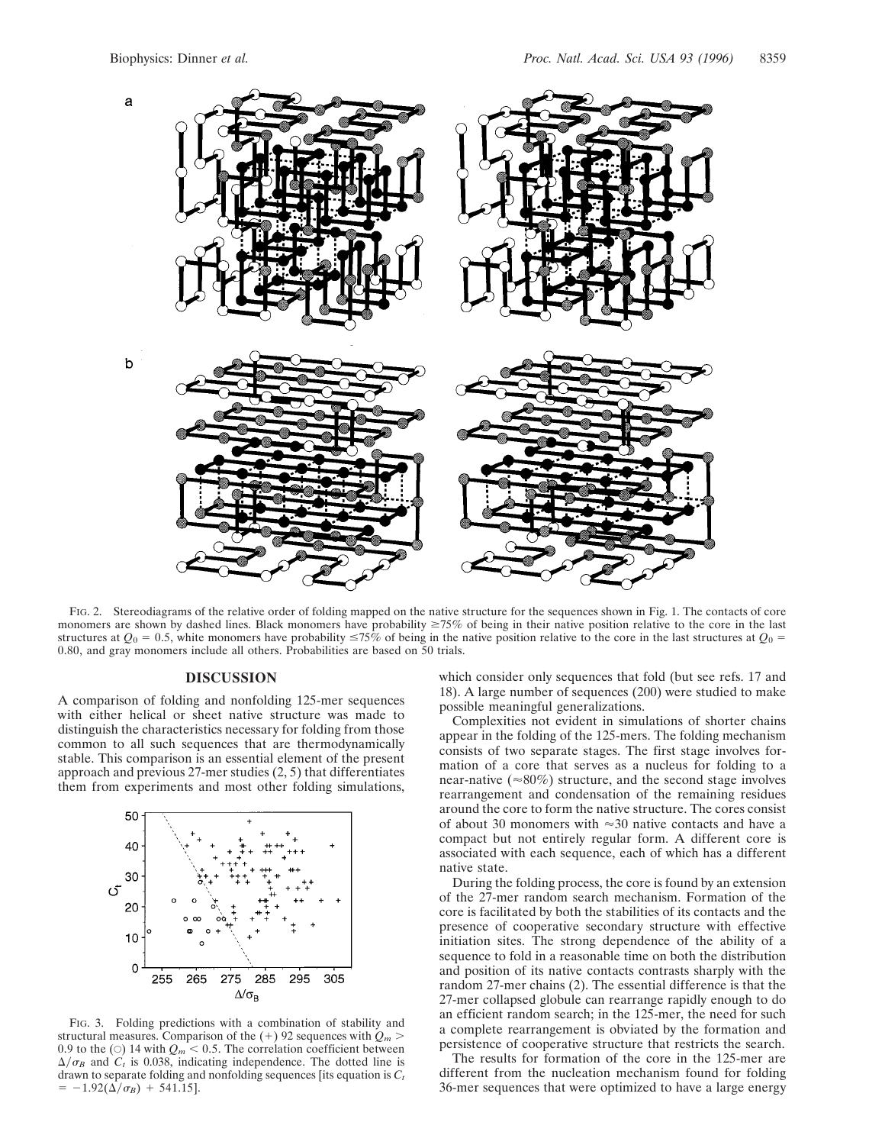

FIG. 2. Stereodiagrams of the relative order of folding mapped on the native structure for the sequences shown in Fig. 1. The contacts of core monomers are shown by dashed lines. Black monomers have probability  $\geq 75\%$  of being in their native position relative to the core in the last structures at  $Q_0 = 0.5$ , white monomers have probability  $\leq 75\%$  of being in the native position relative to the core in the last structures at  $Q_0 = 0$ 0.80, and gray monomers include all others. Probabilities are based on 50 trials.

## **DISCUSSION**

A comparison of folding and nonfolding 125-mer sequences with either helical or sheet native structure was made to distinguish the characteristics necessary for folding from those common to all such sequences that are thermodynamically stable. This comparison is an essential element of the present approach and previous 27-mer studies (2, 5) that differentiates them from experiments and most other folding simulations,



FIG. 3. Folding predictions with a combination of stability and structural measures. Comparison of the  $(+)$  92 sequences with  $Q_m$ 0.9 to the ( $\odot$ ) 14 with  $Q_m < 0.5$ . The correlation coefficient between  $\Delta/\sigma_B$  and  $C_t$  is 0.038, indicating independence. The dotted line is drawn to separate folding and nonfolding sequences [its equation is *Ct*  $= -1.92(\Delta/\sigma_B) + 541.15$ .

which consider only sequences that fold (but see refs. 17 and 18). A large number of sequences (200) were studied to make possible meaningful generalizations.

Complexities not evident in simulations of shorter chains appear in the folding of the 125-mers. The folding mechanism consists of two separate stages. The first stage involves formation of a core that serves as a nucleus for folding to a near-native ( $\approx 80\%$ ) structure, and the second stage involves rearrangement and condensation of the remaining residues around the core to form the native structure. The cores consist of about 30 monomers with  $\approx$ 30 native contacts and have a compact but not entirely regular form. A different core is associated with each sequence, each of which has a different native state.

During the folding process, the core is found by an extension of the 27-mer random search mechanism. Formation of the core is facilitated by both the stabilities of its contacts and the presence of cooperative secondary structure with effective initiation sites. The strong dependence of the ability of a sequence to fold in a reasonable time on both the distribution and position of its native contacts contrasts sharply with the random 27-mer chains (2). The essential difference is that the 27-mer collapsed globule can rearrange rapidly enough to do an efficient random search; in the 125-mer, the need for such a complete rearrangement is obviated by the formation and persistence of cooperative structure that restricts the search.

The results for formation of the core in the 125-mer are different from the nucleation mechanism found for folding 36-mer sequences that were optimized to have a large energy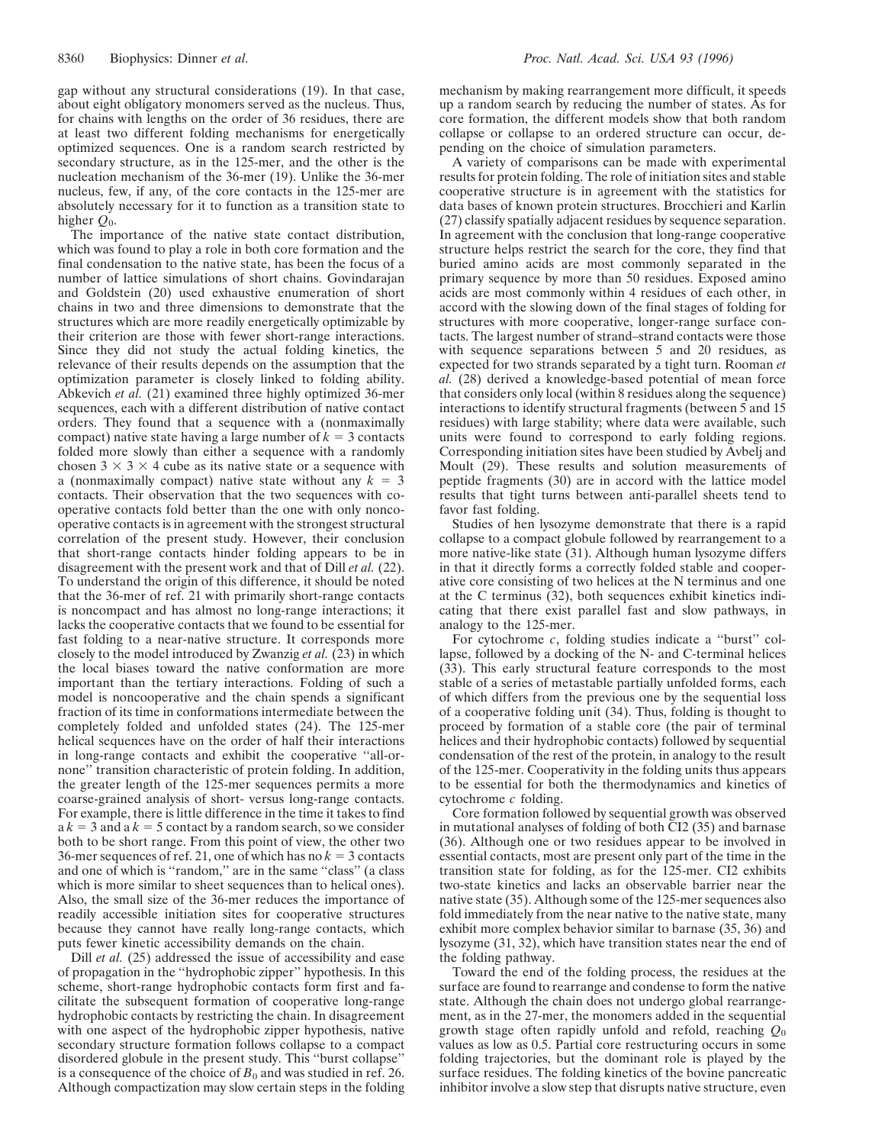gap without any structural considerations (19). In that case, about eight obligatory monomers served as the nucleus. Thus, for chains with lengths on the order of 36 residues, there are at least two different folding mechanisms for energetically optimized sequences. One is a random search restricted by secondary structure, as in the 125-mer, and the other is the nucleation mechanism of the 36-mer (19). Unlike the 36-mer nucleus, few, if any, of the core contacts in the 125-mer are absolutely necessary for it to function as a transition state to higher *Q*0.

The importance of the native state contact distribution, which was found to play a role in both core formation and the final condensation to the native state, has been the focus of a number of lattice simulations of short chains. Govindarajan and Goldstein (20) used exhaustive enumeration of short chains in two and three dimensions to demonstrate that the structures which are more readily energetically optimizable by their criterion are those with fewer short-range interactions. Since they did not study the actual folding kinetics, the relevance of their results depends on the assumption that the optimization parameter is closely linked to folding ability. Abkevich *et al.* (21) examined three highly optimized 36-mer sequences, each with a different distribution of native contact orders. They found that a sequence with a (nonmaximally compact) native state having a large number of  $k = 3$  contacts folded more slowly than either a sequence with a randomly chosen  $3 \times 3 \times 4$  cube as its native state or a sequence with a (nonmaximally compact) native state without any  $k = 3$ contacts. Their observation that the two sequences with cooperative contacts fold better than the one with only noncooperative contacts is in agreement with the strongest structural correlation of the present study. However, their conclusion that short-range contacts hinder folding appears to be in disagreement with the present work and that of Dill *et al.* (22). To understand the origin of this difference, it should be noted that the 36-mer of ref. 21 with primarily short-range contacts is noncompact and has almost no long-range interactions; it lacks the cooperative contacts that we found to be essential for fast folding to a near-native structure. It corresponds more closely to the model introduced by Zwanzig *et al.* (23) in which the local biases toward the native conformation are more important than the tertiary interactions. Folding of such a model is noncooperative and the chain spends a significant fraction of its time in conformations intermediate between the completely folded and unfolded states (24). The 125-mer helical sequences have on the order of half their interactions in long-range contacts and exhibit the cooperative ''all-ornone'' transition characteristic of protein folding. In addition, the greater length of the 125-mer sequences permits a more coarse-grained analysis of short- versus long-range contacts. For example, there is little difference in the time it takes to find  $ak = 3$  and  $ak = 5$  contact by a random search, so we consider both to be short range. From this point of view, the other two 36-mer sequences of ref. 21, one of which has no  $k = 3$  contacts and one of which is "random," are in the same "class" (a class which is more similar to sheet sequences than to helical ones). Also, the small size of the 36-mer reduces the importance of readily accessible initiation sites for cooperative structures because they cannot have really long-range contacts, which puts fewer kinetic accessibility demands on the chain.

Dill *et al.* (25) addressed the issue of accessibility and ease of propagation in the ''hydrophobic zipper'' hypothesis. In this scheme, short-range hydrophobic contacts form first and facilitate the subsequent formation of cooperative long-range hydrophobic contacts by restricting the chain. In disagreement with one aspect of the hydrophobic zipper hypothesis, native secondary structure formation follows collapse to a compact disordered globule in the present study. This ''burst collapse'' is a consequence of the choice of  $B_0$  and was studied in ref. 26. Although compactization may slow certain steps in the folding mechanism by making rearrangement more difficult, it speeds up a random search by reducing the number of states. As for core formation, the different models show that both random collapse or collapse to an ordered structure can occur, depending on the choice of simulation parameters.

A variety of comparisons can be made with experimental results for protein folding. The role of initiation sites and stable cooperative structure is in agreement with the statistics for data bases of known protein structures. Brocchieri and Karlin (27) classify spatially adjacent residues by sequence separation. In agreement with the conclusion that long-range cooperative structure helps restrict the search for the core, they find that buried amino acids are most commonly separated in the primary sequence by more than 50 residues. Exposed amino acids are most commonly within 4 residues of each other, in accord with the slowing down of the final stages of folding for structures with more cooperative, longer-range surface contacts. The largest number of strand–strand contacts were those with sequence separations between 5 and 20 residues, as expected for two strands separated by a tight turn. Rooman *et al.* (28) derived a knowledge-based potential of mean force that considers only local (within 8 residues along the sequence) interactions to identify structural fragments (between 5 and 15 residues) with large stability; where data were available, such units were found to correspond to early folding regions. Corresponding initiation sites have been studied by Avbelj and Moult (29). These results and solution measurements of peptide fragments (30) are in accord with the lattice model results that tight turns between anti-parallel sheets tend to favor fast folding.

Studies of hen lysozyme demonstrate that there is a rapid collapse to a compact globule followed by rearrangement to a more native-like state (31). Although human lysozyme differs in that it directly forms a correctly folded stable and cooperative core consisting of two helices at the N terminus and one at the C terminus (32), both sequences exhibit kinetics indicating that there exist parallel fast and slow pathways, in analogy to the 125-mer.

For cytochrome *c*, folding studies indicate a ''burst'' collapse, followed by a docking of the N- and C-terminal helices (33). This early structural feature corresponds to the most stable of a series of metastable partially unfolded forms, each of which differs from the previous one by the sequential loss of a cooperative folding unit (34). Thus, folding is thought to proceed by formation of a stable core (the pair of terminal helices and their hydrophobic contacts) followed by sequential condensation of the rest of the protein, in analogy to the result of the 125-mer. Cooperativity in the folding units thus appears to be essential for both the thermodynamics and kinetics of cytochrome *c* folding.

Core formation followed by sequential growth was observed in mutational analyses of folding of both CI2 (35) and barnase (36). Although one or two residues appear to be involved in essential contacts, most are present only part of the time in the transition state for folding, as for the 125-mer. CI2 exhibits two-state kinetics and lacks an observable barrier near the native state (35). Although some of the 125-mer sequences also fold immediately from the near native to the native state, many exhibit more complex behavior similar to barnase (35, 36) and lysozyme (31, 32), which have transition states near the end of the folding pathway.

Toward the end of the folding process, the residues at the surface are found to rearrange and condense to form the native state. Although the chain does not undergo global rearrangement, as in the 27-mer, the monomers added in the sequential growth stage often rapidly unfold and refold, reaching *Q*<sup>0</sup> values as low as 0.5. Partial core restructuring occurs in some folding trajectories, but the dominant role is played by the surface residues. The folding kinetics of the bovine pancreatic inhibitor involve a slow step that disrupts native structure, even